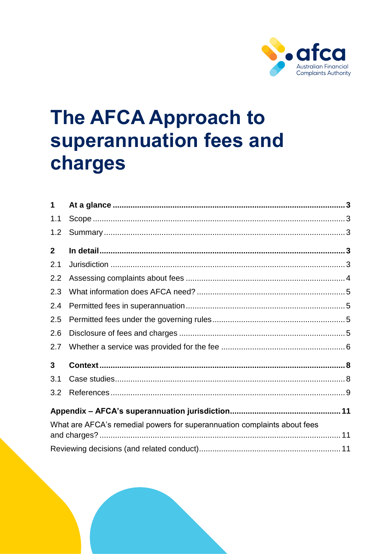

# The AFCA Approach to superannuation fees and charges

| 1            |                                                                          |  |  |
|--------------|--------------------------------------------------------------------------|--|--|
| 1.1          |                                                                          |  |  |
| 1.2          |                                                                          |  |  |
| $\mathbf{2}$ |                                                                          |  |  |
| 2.1          |                                                                          |  |  |
| 2.2          |                                                                          |  |  |
| 2.3          |                                                                          |  |  |
| 2.4          |                                                                          |  |  |
| 2.5          |                                                                          |  |  |
| 2.6          |                                                                          |  |  |
| 2.7          |                                                                          |  |  |
| 3            |                                                                          |  |  |
| 3.1          |                                                                          |  |  |
| 3.2          |                                                                          |  |  |
|              |                                                                          |  |  |
|              | What are AFCA's remedial powers for superannuation complaints about fees |  |  |
|              |                                                                          |  |  |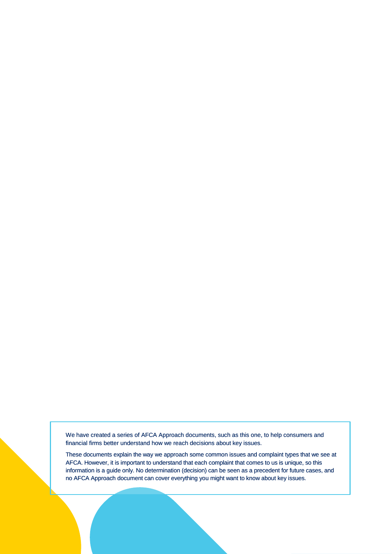We have created a series of AFCA Approach documents, such as this one, to help consumers and We have created a series of AFCA Approach documents, such as this one,<br>financial firms better understand how we reach decisions about key issues.

These documents explain the way we approach some common issues and complaint types that we see at AFCA. However, it is important to understand that each complaint that comes to us is unique, so this information is a guide only. No determination (decision) can be seen as a precedent for future cases, and no AFCA Approach document can cover everything you might want to know about key issues.

The AFCA approach to superanch to superanch to superanch to superannuation fees and charges  $P$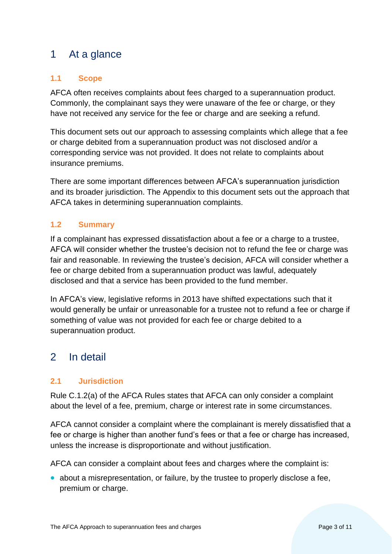# <span id="page-2-0"></span>1 At a glance

# <span id="page-2-1"></span>**1.1 Scope**

AFCA often receives complaints about fees charged to a superannuation product. Commonly, the complainant says they were unaware of the fee or charge, or they have not received any service for the fee or charge and are seeking a refund.

This document sets out our approach to assessing complaints which allege that a fee or charge debited from a superannuation product was not disclosed and/or a corresponding service was not provided. It does not relate to complaints about insurance premiums.

There are some important differences between AFCA's superannuation jurisdiction and its broader jurisdiction. The Appendix to this document sets out the approach that AFCA takes in determining superannuation complaints.

# <span id="page-2-2"></span>**1.2 Summary**

If a complainant has expressed dissatisfaction about a fee or a charge to a trustee, AFCA will consider whether the trustee's decision not to refund the fee or charge was fair and reasonable. In reviewing the trustee's decision, AFCA will consider whether a fee or charge debited from a superannuation product was lawful, adequately disclosed and that a service has been provided to the fund member.

In AFCA's view, legislative reforms in 2013 have shifted expectations such that it would generally be unfair or unreasonable for a trustee not to refund a fee or charge if something of value was not provided for each fee or charge debited to a superannuation product.

# <span id="page-2-3"></span>2 In detail

# <span id="page-2-4"></span>**2.1 Jurisdiction**

Rule C.1.2(a) of the AFCA Rules states that AFCA can only consider a complaint about the level of a fee, premium, charge or interest rate in some circumstances.

AFCA cannot consider a complaint where the complainant is merely dissatisfied that a fee or charge is higher than another fund's fees or that a fee or charge has increased, unless the increase is disproportionate and without justification.

AFCA can consider a complaint about fees and charges where the complaint is:

• about a misrepresentation, or failure, by the trustee to properly disclose a fee, premium or charge.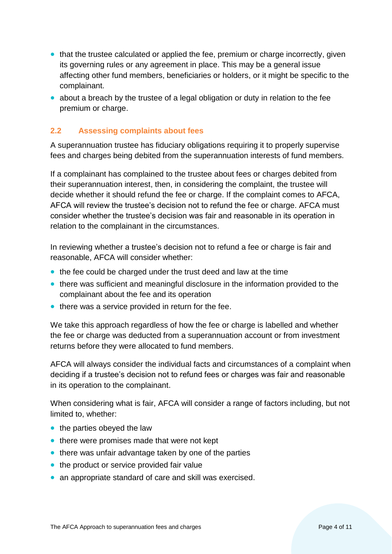- that the trustee calculated or applied the fee, premium or charge incorrectly, given its governing rules or any agreement in place. This may be a general issue affecting other fund members, beneficiaries or holders, or it might be specific to the complainant.
- about a breach by the trustee of a legal obligation or duty in relation to the fee premium or charge.

# <span id="page-3-0"></span>**2.2 Assessing complaints about fees**

A superannuation trustee has fiduciary obligations requiring it to properly supervise fees and charges being debited from the superannuation interests of fund members.

If a complainant has complained to the trustee about fees or charges debited from their superannuation interest, then, in considering the complaint, the trustee will decide whether it should refund the fee or charge. If the complaint comes to AFCA, AFCA will review the trustee's decision not to refund the fee or charge. AFCA must consider whether the trustee's decision was fair and reasonable in its operation in relation to the complainant in the circumstances.

In reviewing whether a trustee's decision not to refund a fee or charge is fair and reasonable, AFCA will consider whether:

- the fee could be charged under the trust deed and law at the time
- there was sufficient and meaningful disclosure in the information provided to the complainant about the fee and its operation
- there was a service provided in return for the fee.

We take this approach regardless of how the fee or charge is labelled and whether the fee or charge was deducted from a superannuation account or from investment returns before they were allocated to fund members.

AFCA will always consider the individual facts and circumstances of a complaint when deciding if a trustee's decision not to refund fees or charges was fair and reasonable in its operation to the complainant.

When considering what is fair, AFCA will consider a range of factors including, but not limited to, whether:

- the parties obeyed the law
- there were promises made that were not kept
- there was unfair advantage taken by one of the parties
- the product or service provided fair value
- an appropriate standard of care and skill was exercised.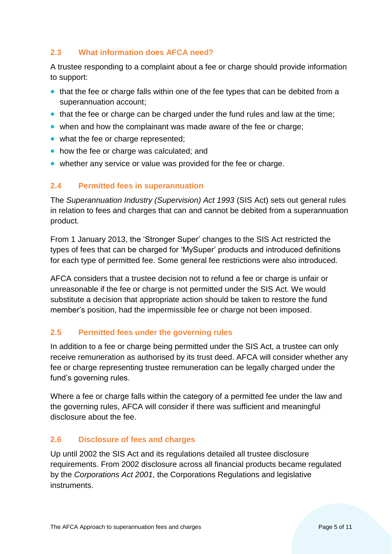# <span id="page-4-0"></span>**2.3 What information does AFCA need?**

A trustee responding to a complaint about a fee or charge should provide information to support:

- that the fee or charge falls within one of the fee types that can be debited from a superannuation account;
- that the fee or charge can be charged under the fund rules and law at the time;
- when and how the complainant was made aware of the fee or charge;
- what the fee or charge represented;
- how the fee or charge was calculated; and
- whether any service or value was provided for the fee or charge.

#### <span id="page-4-1"></span>**2.4 Permitted fees in superannuation**

The *Superannuation Industry (Supervision) Act 1993* (SIS Act) sets out general rules in relation to fees and charges that can and cannot be debited from a superannuation product.

From 1 January 2013, the 'Stronger Super' changes to the SIS Act restricted the types of fees that can be charged for 'MySuper' products and introduced definitions for each type of permitted fee. Some general fee restrictions were also introduced.

AFCA considers that a trustee decision not to refund a fee or charge is unfair or unreasonable if the fee or charge is not permitted under the SIS Act. We would substitute a decision that appropriate action should be taken to restore the fund member's position, had the impermissible fee or charge not been imposed.

# <span id="page-4-2"></span>**2.5 Permitted fees under the governing rules**

In addition to a fee or charge being permitted under the SIS Act, a trustee can only receive remuneration as authorised by its trust deed. AFCA will consider whether any fee or charge representing trustee remuneration can be legally charged under the fund's governing rules.

Where a fee or charge falls within the category of a permitted fee under the law and the governing rules, AFCA will consider if there was sufficient and meaningful disclosure about the fee.

# <span id="page-4-3"></span>**2.6 Disclosure of fees and charges**

Up until 2002 the SIS Act and its regulations detailed all trustee disclosure requirements. From 2002 disclosure across all financial products became regulated by the *Corporations Act 2001,* the Corporations Regulations and legislative instruments.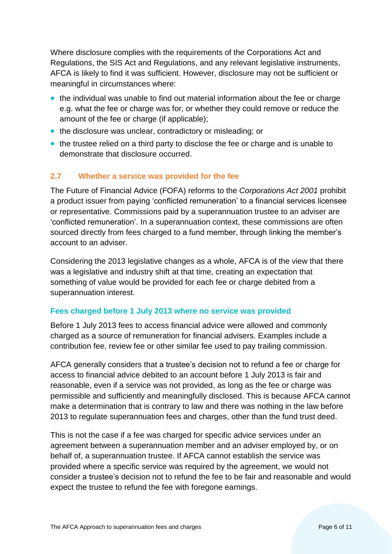Where disclosure complies with the requirements of the Corporations Act and Regulations, the SIS Act and Regulations, and any relevant legislative instruments, AFCA is likely to find it was sufficient. However, disclosure may not be sufficient or meaningful in circumstances where:

- the individual was unable to find out material information about the fee or charge e.g. what the fee or charge was for, or whether they could remove or reduce the amount of the fee or charge (if applicable);
- the disclosure was unclear, contradictory or misleading; or
- the trustee relied on a third party to disclose the fee or charge and is unable to demonstrate that disclosure occurred.

# <span id="page-5-0"></span>**2.7 Whether a service was provided for the fee**

The Future of Financial Advice (FOFA) reforms to the *Corporations Act 2001* prohibit a product issuer from paying 'conflicted remuneration' to a financial services licensee or representative. Commissions paid by a superannuation trustee to an adviser are 'conflicted remuneration'. In a superannuation context, these commissions are often sourced directly from fees charged to a fund member, through linking the member's account to an adviser.

Considering the 2013 legislative changes as a whole, AFCA is of the view that there was a legislative and industry shift at that time, creating an expectation that something of value would be provided for each fee or charge debited from a superannuation interest.

# **Fees charged before 1 July 2013 where no service was provided**

Before 1 July 2013 fees to access financial advice were allowed and commonly charged as a source of remuneration for financial advisers. Examples include a contribution fee, review fee or other similar fee used to pay trailing commission.

AFCA generally considers that a trustee's decision not to refund a fee or charge for access to financial advice debited to an account before 1 July 2013 is fair and reasonable, even if a service was not provided, as long as the fee or charge was permissible and sufficiently and meaningfully disclosed. This is because AFCA cannot make a determination that is contrary to law and there was nothing in the law before 2013 to regulate superannuation fees and charges, other than the fund trust deed.

This is not the case if a fee was charged for specific advice services under an agreement between a superannuation member and an adviser employed by, or on behalf of, a superannuation trustee. If AFCA cannot establish the service was provided where a specific service was required by the agreement, we would not consider a trustee's decision not to refund the fee to be fair and reasonable and would expect the trustee to refund the fee with foregone earnings.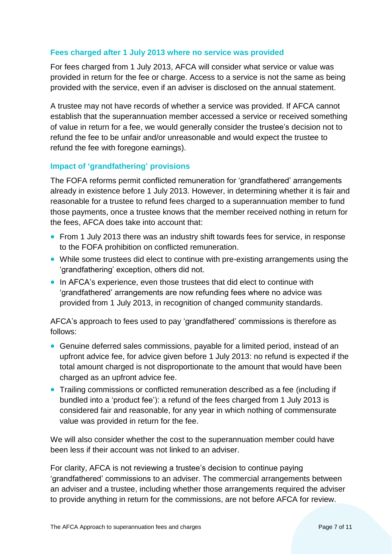#### **Fees charged after 1 July 2013 where no service was provided**

For fees charged from 1 July 2013, AFCA will consider what service or value was provided in return for the fee or charge. Access to a service is not the same as being provided with the service, even if an adviser is disclosed on the annual statement.

A trustee may not have records of whether a service was provided. If AFCA cannot establish that the superannuation member accessed a service or received something of value in return for a fee, we would generally consider the trustee's decision not to refund the fee to be unfair and/or unreasonable and would expect the trustee to refund the fee with foregone earnings).

#### **Impact of 'grandfathering' provisions**

The FOFA reforms permit conflicted remuneration for 'grandfathered' arrangements already in existence before 1 July 2013. However, in determining whether it is fair and reasonable for a trustee to refund fees charged to a superannuation member to fund those payments, once a trustee knows that the member received nothing in return for the fees, AFCA does take into account that:

- From 1 July 2013 there was an industry shift towards fees for service, in response to the FOFA prohibition on conflicted remuneration.
- While some trustees did elect to continue with pre-existing arrangements using the 'grandfathering' exception, others did not.
- In AFCA's experience, even those trustees that did elect to continue with 'grandfathered' arrangements are now refunding fees where no advice was provided from 1 July 2013, in recognition of changed community standards.

AFCA's approach to fees used to pay 'grandfathered' commissions is therefore as follows:

- Genuine deferred sales commissions, payable for a limited period, instead of an upfront advice fee, for advice given before 1 July 2013: no refund is expected if the total amount charged is not disproportionate to the amount that would have been charged as an upfront advice fee.
- Trailing commissions or conflicted remuneration described as a fee (including if bundled into a 'product fee'): a refund of the fees charged from 1 July 2013 is considered fair and reasonable, for any year in which nothing of commensurate value was provided in return for the fee.

We will also consider whether the cost to the superannuation member could have been less if their account was not linked to an adviser.

For clarity, AFCA is not reviewing a trustee's decision to continue paying 'grandfathered' commissions to an adviser. The commercial arrangements between an adviser and a trustee, including whether those arrangements required the adviser to provide anything in return for the commissions, are not before AFCA for review.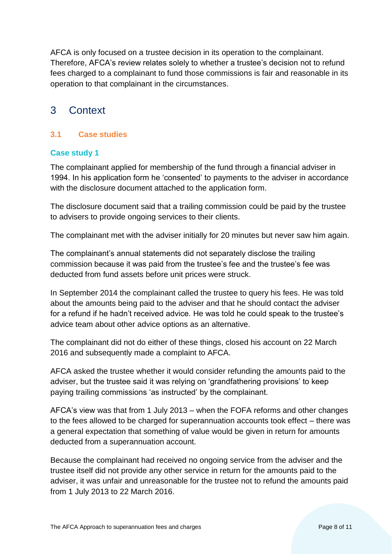AFCA is only focused on a trustee decision in its operation to the complainant. Therefore, AFCA's review relates solely to whether a trustee's decision not to refund fees charged to a complainant to fund those commissions is fair and reasonable in its operation to that complainant in the circumstances.

# <span id="page-7-0"></span>3 Context

# <span id="page-7-1"></span>**3.1 Case studies**

#### **Case study 1**

The complainant applied for membership of the fund through a financial adviser in 1994. In his application form he 'consented' to payments to the adviser in accordance with the disclosure document attached to the application form.

The disclosure document said that a trailing commission could be paid by the trustee to advisers to provide ongoing services to their clients.

The complainant met with the adviser initially for 20 minutes but never saw him again.

The complainant's annual statements did not separately disclose the trailing commission because it was paid from the trustee's fee and the trustee's fee was deducted from fund assets before unit prices were struck.

In September 2014 the complainant called the trustee to query his fees. He was told about the amounts being paid to the adviser and that he should contact the adviser for a refund if he hadn't received advice. He was told he could speak to the trustee's advice team about other advice options as an alternative.

The complainant did not do either of these things, closed his account on 22 March 2016 and subsequently made a complaint to AFCA.

AFCA asked the trustee whether it would consider refunding the amounts paid to the adviser, but the trustee said it was relying on 'grandfathering provisions' to keep paying trailing commissions 'as instructed' by the complainant.

AFCA's view was that from 1 July 2013 – when the FOFA reforms and other changes to the fees allowed to be charged for superannuation accounts took effect – there was a general expectation that something of value would be given in return for amounts deducted from a superannuation account.

Because the complainant had received no ongoing service from the adviser and the trustee itself did not provide any other service in return for the amounts paid to the adviser, it was unfair and unreasonable for the trustee not to refund the amounts paid from 1 July 2013 to 22 March 2016.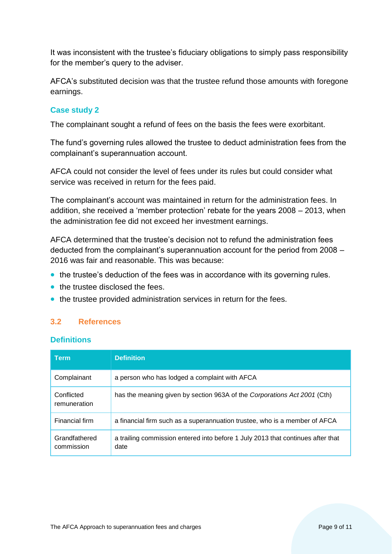It was inconsistent with the trustee's fiduciary obligations to simply pass responsibility for the member's query to the adviser.

AFCA's substituted decision was that the trustee refund those amounts with foregone earnings.

#### **Case study 2**

The complainant sought a refund of fees on the basis the fees were exorbitant.

The fund's governing rules allowed the trustee to deduct administration fees from the complainant's superannuation account.

AFCA could not consider the level of fees under its rules but could consider what service was received in return for the fees paid.

The complainant's account was maintained in return for the administration fees. In addition, she received a 'member protection' rebate for the years 2008 – 2013, when the administration fee did not exceed her investment earnings.

AFCA determined that the trustee's decision not to refund the administration fees deducted from the complainant's superannuation account for the period from 2008 – 2016 was fair and reasonable. This was because:

- the trustee's deduction of the fees was in accordance with its governing rules.
- the trustee disclosed the fees.
- the trustee provided administration services in return for the fees.

# <span id="page-8-0"></span>**3.2 References**

#### **Definitions**

| <b>Term</b>                 | <b>Definition</b>                                                                       |
|-----------------------------|-----------------------------------------------------------------------------------------|
| Complainant                 | a person who has lodged a complaint with AFCA                                           |
| Conflicted<br>remuneration  | has the meaning given by section 963A of the Corporations Act 2001 (Cth)                |
| Financial firm              | a financial firm such as a superannuation trustee, who is a member of AFCA              |
| Grandfathered<br>commission | a trailing commission entered into before 1 July 2013 that continues after that<br>date |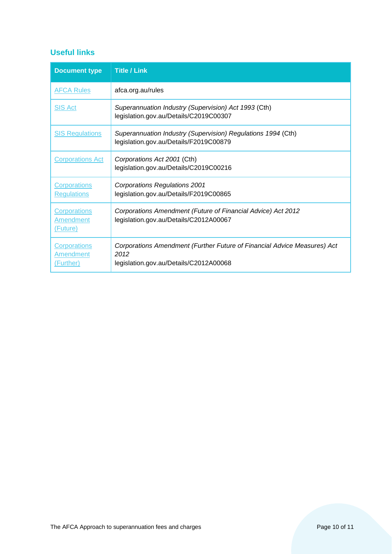# **Useful links**

| <b>Document type</b>                                 | <b>Title / Link</b>                                                                                                        |
|------------------------------------------------------|----------------------------------------------------------------------------------------------------------------------------|
| <b>AFCA Rules</b>                                    | afca.org.au/rules                                                                                                          |
| <b>SIS Act</b>                                       | Superannuation Industry (Supervision) Act 1993 (Cth)<br>legislation.gov.au/Details/C2019C00307                             |
| <b>SIS Regulations</b>                               | Superannuation Industry (Supervision) Regulations 1994 (Cth)<br>legislation.gov.au/Details/F2019C00879                     |
| <b>Corporations Act</b>                              | Corporations Act 2001 (Cth)<br>legislation.gov.au/Details/C2019C00216                                                      |
| <b>Corporations</b><br><b>Regulations</b>            | <b>Corporations Regulations 2001</b><br>legislation.gov.au/Details/F2019C00865                                             |
| <b>Corporations</b><br>Amendment<br>(Future)         | Corporations Amendment (Future of Financial Advice) Act 2012<br>legislation.gov.au/Details/C2012A00067                     |
| <b>Corporations</b><br><b>Amendment</b><br>(Further) | Corporations Amendment (Further Future of Financial Advice Measures) Act<br>2012<br>legislation.gov.au/Details/C2012A00068 |